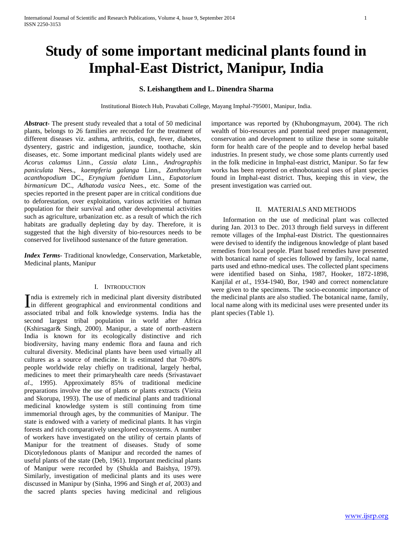# **Study of some important medicinal plants found in Imphal-East District, Manipur, India**

# **S. Leishangthem and L. Dinendra Sharma**

Institutional Biotech Hub, Pravabati College, Mayang Imphal-795001, Manipur, India.

*Abstract***-** The present study revealed that a total of 50 medicinal plants, belongs to 26 families are recorded for the treatment of different diseases viz. asthma, arthritis, cough, fever, diabetes, dysentery, gastric and indigestion, jaundice, toothache, skin diseases, etc. Some important medicinal plants widely used are *Acorus calamus* Linn., *Cassia alata* Linn., *Andrographis paniculata* Nees., *kaempferia galanga* Linn., *Zanthoxylum acanthopodium* DC., *Eryngium foetidum* Linn., *Eupatorium birmanicum* DC., *Adhatoda vasica* Nees., etc. Some of the species reported in the present paper are in critical conditions due to deforestation, over exploitation, various activities of human population for their survival and other developmental activities such as agriculture, urbanization etc. as a result of which the rich habitats are gradually depleting day by day. Therefore, it is suggested that the high diversity of bio-resources needs to be conserved for livelihood sustenance of the future generation.

*Index Terms*- Traditional knowledge, Conservation, Marketable, Medicinal plants, Manipur

### I. INTRODUCTION

ndia is extremely rich in medicinal plant diversity distributed India is extremely rich in medicinal plant diversity distributed<br>in different geographical and environmental conditions and associated tribal and folk knowledge systems. India has the second largest tribal population in world after Africa (Kshirsagar& Singh, 2000). Manipur, a state of north-eastern India is known for its ecologically distinctive and rich biodiversity, having many endemic flora and fauna and rich cultural diversity. Medicinal plants have been used virtually all cultures as a source of medicine. It is estimated that 70-80% people worldwide relay chiefly on traditional, largely herbal, medicines to meet their primaryhealth care needs (Srivastava*et al*., 1995). Approximately 85% of traditional medicine preparations involve the use of plants or plants extracts (Vieira and Skorupa, 1993). The use of medicinal plants and traditional medicinal knowledge system is still continuing from time immemorial through ages, by the communities of Manipur. The state is endowed with a variety of medicinal plants. It has virgin forests and rich comparatively unexplored ecosystems. A number of workers have investigated on the utility of certain plants of Manipur for the treatment of diseases. Study of some Dicotyledonous plants of Manipur and recorded the names of useful plants of the state (Deb, 1961). Important medicinal plants of Manipur were recorded by (Shukla and Baishya, 1979). Similarly, investigation of medicinal plants and its uses were discussed in Manipur by (Sinha, 1996 and Singh *et al*, 2003) and the sacred plants species having medicinal and religious

importance was reported by (Khubongmayum, 2004). The rich wealth of bio-resources and potential need proper management, conservation and development to utilize these in some suitable form for health care of the people and to develop herbal based industries. In present study, we chose some plants currently used in the folk medicine in Imphal-east district, Manipur. So far few works has been reported on ethnobotanical uses of plant species found in Imphal-east district. Thus, keeping this in view, the present investigation was carried out.

# II. MATERIALS AND METHODS

 Information on the use of medicinal plant was collected during Jan. 2013 to Dec. 2013 through field surveys in different remote villages of the Imphal-east District. The questionnaires were devised to identify the indigenous knowledge of plant based remedies from local people. Plant based remedies have presented with botanical name of species followed by family, local name, parts used and ethno-medical uses. The collected plant specimens were identified based on Sinha, 1987, Hooker, 1872-1898, Kanjilal *et al*., 1934-1940, Bor, 1940 and correct nomenclature were given to the specimens. The socio-economic importance of the medicinal plants are also studied. The botanical name, family, local name along with its medicinal uses were presented under its plant species (Table 1).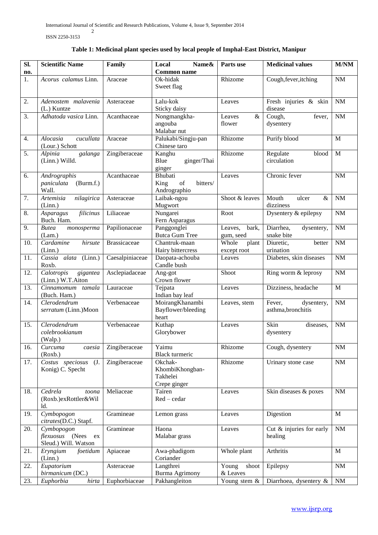ISSN 2250-3153

| Table 1: Medicinal plant species used by local people of Imphal-East District, Manipur |  |  |  |  |
|----------------------------------------------------------------------------------------|--|--|--|--|
|----------------------------------------------------------------------------------------|--|--|--|--|

| SI.<br>no. | <b>Scientific Name</b>                                             | Family              | Name&<br>Local<br><b>Common name</b>                   | Parts use                     | <b>Medicinal values</b>                    | M/NM         |
|------------|--------------------------------------------------------------------|---------------------|--------------------------------------------------------|-------------------------------|--------------------------------------------|--------------|
| 1.         | Acorus calamus Linn.                                               | Araceae             | $\overline{O}$ k-hidak<br>Sweet flag                   | Rhizome                       | Cough, fever, itching                      | $\rm{NM}$    |
| 2.         | Adenostem malavenia<br>(L.) Kuntze                                 | Asteraceae          | Lalu-kok<br>Sticky daisy                               | Leaves                        | Fresh injuries & skin<br>disease           | $\rm{NM}$    |
| 3.         | Adhatoda vasica Linn.                                              | Acanthaceae         | Nongmangkha-<br>angouba<br>Malabar nut                 | $\&$<br>Leaves<br>flower      | Cough,<br>fever,<br>dysentery              | $\rm{NM}$    |
| 4.         | Alocasia<br>cucullata<br>(Lour.) Schott                            | Araceae             | Palukabi/Singju-pan<br>Chinese taro                    | Rhizome                       | Purify blood                               | M            |
| 5.         | Alpinia<br>galanga<br>(Linn.) Willd.                               | Zingiberaceae       | Kanghu<br>Blue<br>ginger/Thai<br>ginger                | Rhizome                       | Regulate<br>blood<br>circulation           | $\mathbf{M}$ |
| 6.         | Andrographis<br>paniculata<br>(Burm.f.)<br>Wall.                   | Acanthaceae         | Bhubati<br>King<br>bitters/<br>of<br>Andrographio      | Leaves                        | Chronic fever                              | NM           |
| 7.         | nilagirica<br>Artemisia<br>(Linn.)                                 | Asteraceae          | Laibak-ngou<br>Mugwort                                 | Shoot & leaves                | Mouth<br>ulcer<br>$\&$<br>dizziness        | $\rm{NM}$    |
| 8.         | filicinus<br>Asparagus<br>Buch. Ham.                               | Liliaceae           | Nungarei<br>Fern Asparagus                             | Root                          | Dysentery & epilepsy                       | $\rm{NM}$    |
| 9.         | <b>Butea</b><br>monosperma<br>(Lam.)                               | Papilionaceae       | Panggonglei<br><b>Butca Gum Tree</b>                   | Leaves,<br>bark,<br>gum, seed | Diarrhea,<br>dysentery,<br>snake bite      | $\rm{NM}$    |
| 10.        | Cardamine<br>hirsute<br>(Linn.)                                    | <b>Brassicaceae</b> | Chantruk-maan<br>Hairy bittercress                     | Whole<br>plant<br>except root | Diuretic,<br>better<br>urination           | NM           |
| 11.        | Cassia alata (Linn.)<br>Roxb.                                      | Caesalpiniaceae     | Daopata-achouba<br>Candle bush                         | Leaves                        | Diabetes, skin diseases                    | $\rm{NM}$    |
| 12.        | Calotropis<br>gigantea<br>(Linn.) W.T.Aiton                        | Asclepiadaceae      | Ang-got<br>Crown flower                                | Shoot                         | Ring worm & leprosy                        | $\rm{NM}$    |
| 13.        | Cinnamomum tamala<br>(Buch. Ham.)                                  | Lauraceae           | Tejpata<br>Indian bay leaf                             | Leaves                        | Dizziness, headache                        | $\mathbf M$  |
| 14.        | Clerodendrum<br>serratum (Linn.)Moon                               | Verbenaceae         | MoirangKhanambi<br>Bayflower/bleeding<br>heart         | Leaves, stem                  | Fever,<br>dysentery,<br>asthma, bronchitis | $\rm{NM}$    |
| 15.        | Clerodendrum<br>colebrookianum<br>(Walp.)                          | Verbenaceae         | Kuthap<br>Glorybower                                   | Leaves                        | Skin<br>diseases,<br>dysentery             | NM           |
| 16.        | Curcuma<br>caesia<br>(Roxb.)                                       | Zingiberaceae       | Yaimu<br><b>Black</b> turmeric                         | Rhizome                       | Cough, dysentery                           | NM           |
| 17.        | Costus speciosus (J.<br>Konig) C. Specht                           | Zingiberaceae       | Okchak-<br>KhombiKhongban-<br>Takhelei<br>Crepe ginger | Rhizome                       | Urinary stone case                         | $\rm{NM}$    |
| 18.        | Cedrela<br>toona<br>(Roxb.)exRottler&Wil<br>ld.                    | Meliaceae           | Tairen<br>$Red - cedar$                                | Leaves                        | Skin diseases & poxes                      | $\rm{NM}$    |
| 19.        | Cymbopogon<br>citrates(D.C.) Stapf.                                | Gramineae           | Lemon grass                                            | Leaves                        | Digestion                                  | $\mathbf{M}$ |
| 20.        | Cymbopogon<br><i>flexuosus</i> (Nees<br>ex<br>Sleud.) Will. Watson | Gramineae           | Haona<br>Malabar grass                                 | Leaves                        | Cut & injuries for early<br>healing        | NM           |
| 21.        | Eryngium<br>foetidum<br>(Linn.)                                    | Apiaceae            | Awa-phadigom<br>Coriander                              | Whole plant                   | Arthritis                                  | $\mathbf{M}$ |
| 22.        | Eupatorium<br>birmanicum (DC.)                                     | Asteraceae          | Langthrei<br>Burma Agrimony                            | Young<br>shoot<br>& Leaves    | Epilepsy                                   | NM           |
| 23.        | hirta<br>Euphorbia                                                 | Euphorbiaceae       | Pakhangleiton                                          | Young stem &                  | Diarrhoea, dysentery &                     | NM           |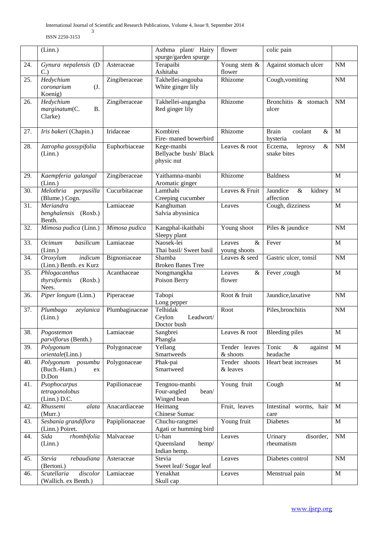ISSN 2250-3153

|     | (Linn.)                                            |                | Asthma plant/ Hairy<br>spurge/garden spurge          | flower                         | colic pain                                  |              |
|-----|----------------------------------------------------|----------------|------------------------------------------------------|--------------------------------|---------------------------------------------|--------------|
| 24. | Gynura nepalensis (D<br>C.                         | Asteraceae     | Terapaibi<br>Ashitaba                                | Young stem &<br>flower         | Against stomach ulcer                       | $\rm{NM}$    |
| 25. | Hedychium<br>coronarium<br>(J.<br>Koenig)          | Zingiberaceae  | Takhellei-angouba<br>White ginger lily               | Rhizome                        | Cough, vomiting                             | $\rm{NM}$    |
| 26. | Hedychium<br>marginatum(C.<br><b>B.</b><br>Clarke) | Zingiberaceae  | Takhellei-angangba<br>Red ginger lily                | Rhizome                        | Bronchitis & stomach<br>ulcer               | $\rm{NM}$    |
| 27. | Iris bakeri (Chapin.)                              | Iridaceae      | Kombirei<br>Fire-maned bowerbird                     | Rhizome                        | <b>Brain</b><br>coolant<br>$\&$<br>hysteria | M            |
| 28. | Jatropha gossypifolia<br>(Linn.)                   | Euphorbiaceae  | Kege-manbi<br>Bellyache bush/ Black<br>physic nut    | Leaves & root                  | leprosy<br>$\&$<br>Eczema,<br>snake bites   | $\rm{NM}$    |
| 29. | Kaempferia galangal<br>(Linn.)                     | Zingiberaceae  | Yaithamna-manbi<br>Aromatic ginger                   | Rhizome                        | <b>Baldness</b>                             | M            |
| 30. | Melothria perpusilla<br>(Blume.) Cogn.             | Cucurbitaceae  | Lamthabi<br>Creeping cucumber                        | Leaves & Fruit                 | Jaundice<br>$\&$<br>kidney<br>affection     | $\mathbf M$  |
| 31. | Meriandra<br>benghalensis<br>(Roxb.)<br>Benth.     | Lamiaceae      | Kanghuman<br>Salvia abyssinica                       | Leaves                         | Cough, dizziness                            | M            |
| 32. | Mimosa pudica (Linn.)                              | Mimosa pudica  | Kangphal-ikaithabi<br>Sleepy plant                   | Young shoot                    | Piles & jaundice                            | NM           |
| 33. | Ocimum<br>basilicum<br>(Linn.)                     | Lamiaceae      | Naosek-lei<br>Thai basil/ Sweet basil                | Leaves<br>$\&$<br>young shoots | Fever                                       | $\mathbf M$  |
| 34. | indicum<br>Oroxylum<br>(Linn.) Benth. ex Kurz      | Bignoniaceae   | Shamba<br><b>Broken Banes Tree</b>                   | Leaves & seed                  | Gastric ulcer, tonsil                       | $\rm{NM}$    |
| 35. | Phlogacanthus<br>thyrsiformis<br>(Roxb.)<br>Nees.  | Acanthaceae    | Nongmangkha<br>Poison Berry                          | Leaves<br>&<br>flower          | Fever ,cough                                | M            |
| 36. | Piper longum (Linn.)                               | Piperaceae     | Tabopi<br>Long pepper                                | Root & fruit                   | Jaundice, laxative                          | $\rm{NM}$    |
| 37. | Plumbago<br>zeylanica<br>(Linn.)                   | Plumbaginaceae | Telhidak<br>Ceylon<br>Leadwort/<br>Doctor bush       | Root                           | Piles, bronchitis                           | NM           |
| 38. | Pogostemon<br><i>parviflorus</i> (Benth.)          | Lamiaceae      | Sangbrei<br>Phangla                                  | Leaves & root                  | <b>Bleeding piles</b>                       | $\mathbf M$  |
| 39. | Polygonum<br>orientale(Linn.)                      | Polygonaceae   | Yellang<br>Smartweeds                                | Tender leaves<br>& shoots      | Tonic<br>$\&$<br>against<br>headache        | M            |
| 40. | Polygonum posumbu<br>(Buch.-Ham.)<br>ex<br>D.Don   | Polygonaceae   | Phak-pai<br>Smartweed                                | Tender shoots<br>& leaves      | Heart beat increases                        | M            |
| 41. | Psophocarpus<br>tetragonolobus<br>$(Linn.)$ D.C.   | Papilionaceae  | Tengnou-manbi<br>Four-angled<br>bean/<br>Winged bean | Young fruit                    | Cough                                       | M            |
| 42. | Rhussemi<br>alata<br>(Murr.)                       | Anacardiaceae  | Heimang<br>Chinese Sumac                             | Fruit, leaves                  | Intestinal worms, hair<br>care              | $\mathbf{M}$ |
| 43. | Sesbania grandiflora<br>(Linn.) Poiret.            | Papiplionaceae | Chuchu-rangmei<br>Agati or humming bird              | Young fruit                    | Diabetes                                    | $\mathbf M$  |
| 44. | Sida<br>rhombifolia<br>(Linn.)                     | Malvaceae      | U-han<br>Queensland<br>hemp/<br>Indian hemp.         | Leaves                         | Urinary<br>disorder,<br>rheumatism          | $\rm{NM}$    |
| 45. | rebaudiana<br>Stevia<br>(Bertoni.)                 | Asteraceae     | Stevia<br>Sweet leaf/Sugar leaf                      | Leaves                         | Diabetes control                            | $\rm{NM}$    |
| 46. | discolor<br>Scutellaria<br>(Wallich. ex Benth.)    | Lamiaceae      | Yenakhat<br>Skull cap                                | Leaves                         | Menstrual pain                              | $\mathbf M$  |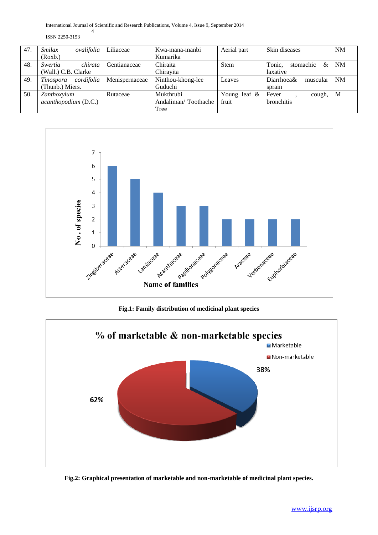International Journal of Scientific and Research Publications, Volume 4, Issue 9, September 2014 4

ISSN 2250-3153

| 47. | <i>Smilax</i>        | ovalifolia | Liliaceae      | Kwa-mana-manbi      | Aerial part     | Skin diseases            | NM        |
|-----|----------------------|------------|----------------|---------------------|-----------------|--------------------------|-----------|
|     | (Roxb.)              |            |                | Kumarika            |                 |                          |           |
| 48. | Swertia              | chirata    | Gentianaceae   | Chiraita            | Stem            | Tonic,<br>stomachic<br>& | NM        |
|     | (Wall.) C.B. Clarke  |            |                | Chirayita           |                 | laxative                 |           |
| 49. | Tinospora            | cordifolia | Menispernaceae | Ninthou-khong-lee   | Leaves          | Diarrhoea&<br>muscular   | <b>NM</b> |
|     | (Thunb.) Miers.      |            |                | Guduchi             |                 | sprain                   |           |
| 50. | Zanthoxylum          |            | Rutaceae       | Mukthrubi           | Young leaf $\&$ | Fever<br>cough.          | M         |
|     | acanthopodium (D.C.) |            |                | Andaliman/Toothache | fruit           | <b>bronchitis</b>        |           |
|     |                      |            |                | Tree                |                 |                          |           |



**Fig.1: Family distribution of medicinal plant species**



**Fig.2: Graphical presentation of marketable and non-marketable of medicinal plant species.**